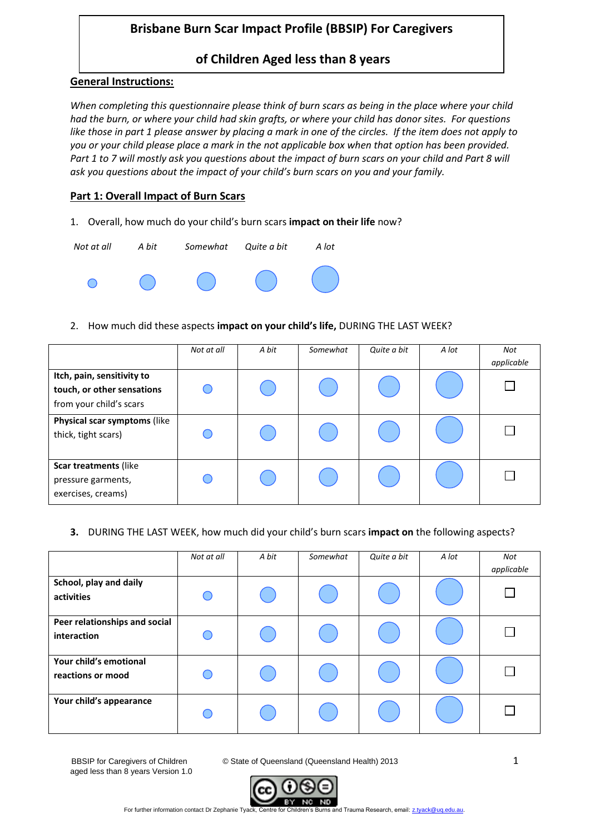# **Brisbane Burn Scar Impact Profile (BBSIP) For Caregivers**

## **of Children Aged less than 8 years**

### **General Instructions:**

*When completing this questionnaire please think of burn scars as being in the place where your child had the burn, or where your child had skin grafts, or where your child has donor sites. For questions like those in part 1 please answer by placing a mark in one of the circles. If the item does not apply to you or your child please place a mark in the not applicable box when that option has been provided. Part 1 to 7 will mostly ask you questions about the impact of burn scars on your child and Part 8 will ask you questions about the impact of your child's burn scars on you and your family.* 

### **Part 1: Overall Impact of Burn Scars**

1. Overall, how much do your child's burn scars **impact on their life** now?



2. How much did these aspects **impact on your child's life,** DURING THE LAST WEEK?

|                                                                                     | Not at all | A bit | Somewhat | Quite a bit | A lot | Not<br>applicable |
|-------------------------------------------------------------------------------------|------------|-------|----------|-------------|-------|-------------------|
| Itch, pain, sensitivity to<br>touch, or other sensations<br>from your child's scars |            |       |          |             |       |                   |
| Physical scar symptoms (like<br>thick, tight scars)                                 |            |       |          |             |       |                   |
| Scar treatments (like<br>pressure garments,<br>exercises, creams)                   |            |       |          |             |       |                   |

#### **3.** DURING THE LAST WEEK, how much did your child's burn scars **impact on** the following aspects?

|                                              | Not at all | A bit | Somewhat | Quite a bit | A lot | Not<br>applicable |
|----------------------------------------------|------------|-------|----------|-------------|-------|-------------------|
| School, play and daily<br>activities         |            |       |          |             |       |                   |
| Peer relationships and social<br>interaction |            |       |          |             |       |                   |
| Your child's emotional<br>reactions or mood  |            |       |          |             |       |                   |
| Your child's appearance                      |            |       |          |             |       |                   |

aged less than 8 years Version 1.0

BBSIP for Caregivers of Children © State of Queensland (Queensland Health) 2013 1

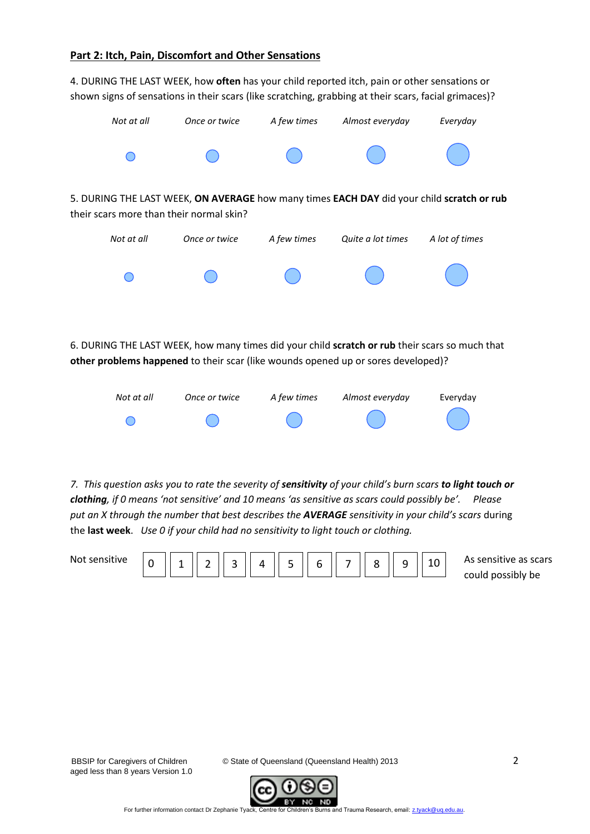#### **Part 2: Itch, Pain, Discomfort and Other Sensations**

4. DURING THE LAST WEEK, how **often** has your child reported itch, pain or other sensations or shown signs of sensations in their scars (like scratching, grabbing at their scars, facial grimaces)?



6. DURING THE LAST WEEK, how many times did your child **scratch or rub** their scars so much that **other problems happened** to their scar (like wounds opened up or sores developed)?



*7. This question asks you to rate the severity of sensitivity of your child's burn scars to light touch or clothing, if 0 means 'not sensitive' and 10 means 'as sensitive as scars could possibly be'. Please put an X through the number that best describes the AVERAGE sensitivity in your child's scars* during the **last week**. *Use 0 if your child had no sensitivity to light touch or clothing.*

| N <sub>0</sub><br>1 V U | $\sim$<br>$\overline{A}$<br>$\overline{\phantom{0}}$<br>u<br>- | $\mathbf{C}$<br>ے | Δ | E.<br>ے | $\overline{\phantom{0}}$<br>b | $\overline{\phantom{0}}$ |  | ے |  |  |
|-------------------------|----------------------------------------------------------------|-------------------|---|---------|-------------------------------|--------------------------|--|---|--|--|
|-------------------------|----------------------------------------------------------------|-------------------|---|---------|-------------------------------|--------------------------|--|---|--|--|

As sensitive as scars could possibly be

aged less than 8 years Version 1.0

BBSIP for Caregivers of Children © State of Queensland (Queensland Health) 2013 2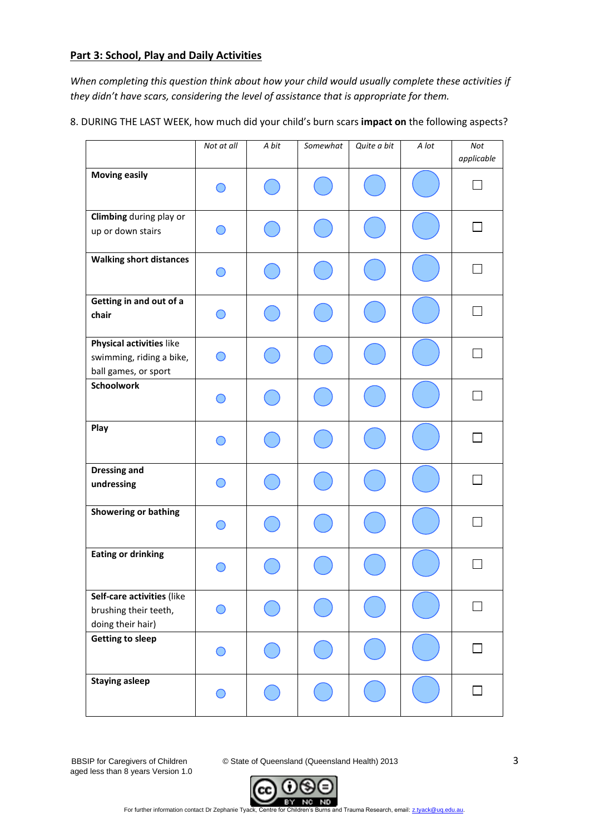## **Part 3: School, Play and Daily Activities**

*When completing this question think about how your child would usually complete these activities if they didn't have scars, considering the level of assistance that is appropriate for them.* 

8. DURING THE LAST WEEK, how much did your child's burn scars **impact on** the following aspects?

|                                                                              | Not at all                                    | A bit | Somewhat | Quite a bit | A lot | Not<br>applicable |
|------------------------------------------------------------------------------|-----------------------------------------------|-------|----------|-------------|-------|-------------------|
| <b>Moving easily</b>                                                         |                                               |       |          |             |       |                   |
| Climbing during play or<br>up or down stairs                                 |                                               |       |          |             |       |                   |
| <b>Walking short distances</b>                                               |                                               |       |          |             |       |                   |
| Getting in and out of a<br>chair                                             |                                               |       |          |             |       |                   |
| Physical activities like<br>swimming, riding a bike,<br>ball games, or sport | $\left( \begin{array}{c} \end{array} \right)$ |       |          |             |       |                   |
| <b>Schoolwork</b>                                                            |                                               |       |          |             |       |                   |
| Play                                                                         |                                               |       |          |             |       |                   |
| <b>Dressing and</b><br>undressing                                            |                                               |       |          |             |       |                   |
| <b>Showering or bathing</b>                                                  |                                               |       |          |             |       |                   |
| <b>Eating or drinking</b>                                                    |                                               |       |          |             |       |                   |
| Self-care activities (like<br>brushing their teeth,<br>doing their hair)     | $\bar{ }$                                     |       |          |             |       |                   |
| <b>Getting to sleep</b>                                                      |                                               |       |          |             |       |                   |
| <b>Staying asleep</b>                                                        |                                               |       |          |             |       |                   |

aged less than 8 years Version 1.0

BBSIP for Caregivers of Children **C** State of Queensland (Queensland Health) 2013 3

For further information contact Dr Zephanie Tyack, Centre for Children's Burns and Trauma Research, email[: z.tyack@uq.edu.au.](mailto:z.tyack@uq.edu.au)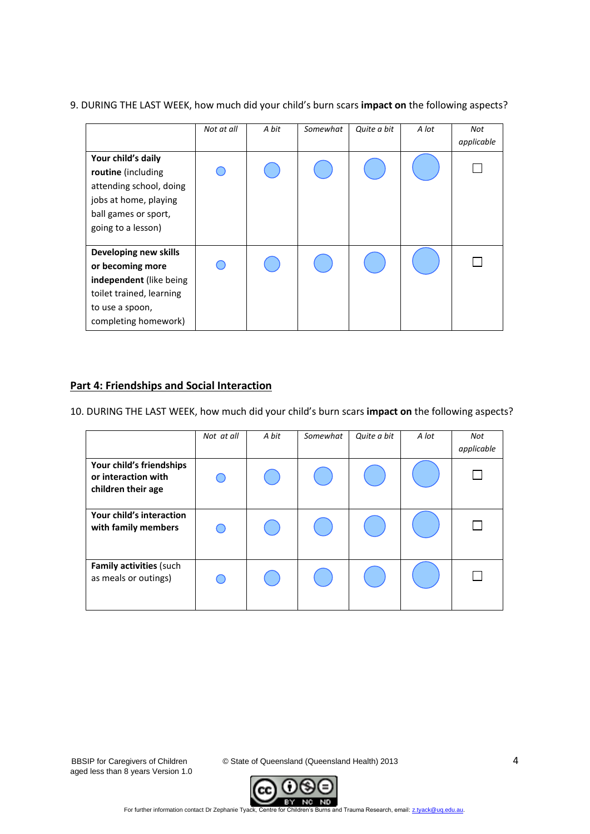|                                                                                                                                             | Not at all | A bit | Somewhat | Quite a bit | A lot | Not<br>applicable |
|---------------------------------------------------------------------------------------------------------------------------------------------|------------|-------|----------|-------------|-------|-------------------|
| Your child's daily<br>routine (including<br>attending school, doing<br>jobs at home, playing<br>ball games or sport,<br>going to a lesson)  |            |       |          |             |       |                   |
| Developing new skills<br>or becoming more<br>independent (like being<br>toilet trained, learning<br>to use a spoon,<br>completing homework) |            |       |          |             |       |                   |

#### 9. DURING THE LAST WEEK, how much did your child's burn scars **impact on** the following aspects?

## **Part 4: Friendships and Social Interaction**

10. DURING THE LAST WEEK, how much did your child's burn scars **impact on** the following aspects?

|                                                                       | Not at all | A bit | Somewhat | Quite a bit | A lot | Not<br>applicable |
|-----------------------------------------------------------------------|------------|-------|----------|-------------|-------|-------------------|
| Your child's friendships<br>or interaction with<br>children their age |            |       |          |             |       |                   |
| Your child's interaction<br>with family members                       |            |       |          |             |       |                   |
| Family activities (such<br>as meals or outings)                       |            |       |          |             |       |                   |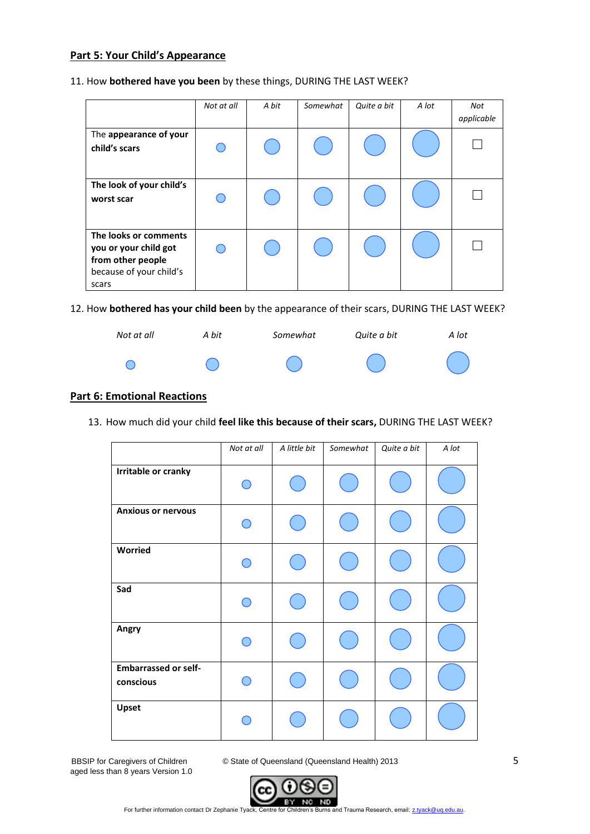## **Part 5: Your Child's Appearance**

#### 11. How **bothered have you been** by these things, DURING THE LAST WEEK?

|                                                                                                         | Not at all | A bit | Somewhat | Quite a bit | A lot | Not<br>applicable |
|---------------------------------------------------------------------------------------------------------|------------|-------|----------|-------------|-------|-------------------|
| The appearance of your<br>child's scars                                                                 |            |       |          |             |       |                   |
| The look of your child's<br>worst scar                                                                  |            |       |          |             |       |                   |
| The looks or comments<br>you or your child got<br>from other people<br>because of your child's<br>scars |            |       |          |             |       |                   |

12. How **bothered has your child been** by the appearance of their scars, DURING THE LAST WEEK?



### **Part 6: Emotional Reactions**

13. How much did your child **feel like this because of their scars,** DURING THE LAST WEEK?

|                                          | Not at all | A little bit | Somewhat | Quite a bit | A lot |
|------------------------------------------|------------|--------------|----------|-------------|-------|
| Irritable or cranky                      |            |              |          |             |       |
| <b>Anxious or nervous</b>                |            |              |          |             |       |
| Worried                                  |            |              |          |             |       |
| Sad                                      |            |              |          |             |       |
| Angry                                    |            |              |          |             |       |
| <b>Embarrassed or self-</b><br>conscious |            |              |          |             |       |
| Upset                                    |            |              |          |             |       |

aged less than 8 years Version 1.0

BBSIP for Caregivers of Children **C** State of Queensland (Queensland Health) 2013 5

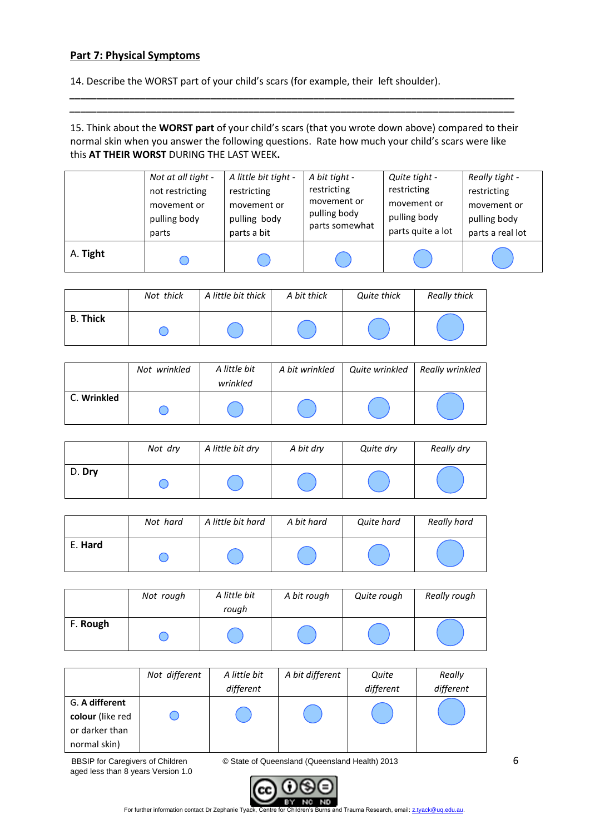### **Part 7: Physical Symptoms**

14. Describe the WORST part of your child's scars (for example, their left shoulder).

15. Think about the **WORST part** of your child's scars (that you wrote down above) compared to their normal skin when you answer the following questions. Rate how much your child's scars were like this **AT THEIR WORST** DURING THE LAST WEEK**.** 

*\_\_\_\_\_\_\_\_\_\_\_\_\_\_\_\_\_\_\_\_\_\_\_\_\_\_\_\_\_\_\_\_\_\_\_\_\_\_\_\_\_\_\_\_\_\_\_\_\_\_\_\_\_\_\_\_\_\_\_\_\_\_\_\_\_\_\_\_\_\_\_\_\_\_\_\_\_\_\_\_\_\_ \_\_\_\_\_\_\_\_\_\_\_\_\_\_\_\_\_\_\_\_\_\_\_\_\_\_\_\_\_\_\_\_\_\_\_\_\_\_\_\_\_\_\_\_\_\_\_\_\_\_\_\_\_\_\_\_\_\_\_\_\_\_\_\_\_\_\_\_\_\_\_\_\_\_\_\_\_\_\_\_\_\_*

|          | Not at all tight - | A little bit tight - | A bit tight -  | Quite tight -     | Really tight -   |
|----------|--------------------|----------------------|----------------|-------------------|------------------|
|          | not restricting    | restricting          | restricting    | restricting       | restricting      |
|          | movement or        | movement or          | movement or    | movement or       | movement or      |
|          | pulling body       | pulling body         | pulling body   | pulling body      | pulling body     |
|          | parts              | parts a bit          | parts somewhat | parts quite a lot | parts a real lot |
| A. Tight |                    |                      |                |                   |                  |

|                 | Not thick | A little bit thick | A bit thick | Quite thick | <b>Really thick</b> |
|-----------------|-----------|--------------------|-------------|-------------|---------------------|
| <b>B. Thick</b> |           |                    |             |             |                     |

|             | Not wrinkled | A little bit<br>wrinkled | A bit wrinkled | Quite wrinkled | Really wrinkled |
|-------------|--------------|--------------------------|----------------|----------------|-----------------|
| C. Wrinkled |              |                          |                |                |                 |

|        | Not dry | A little bit dry | A bit dry | Quite dry | Really dry |
|--------|---------|------------------|-----------|-----------|------------|
| D. Dry |         |                  |           |           |            |

|         | Not hard | A little bit hard | A bit hard | Quite hard | Really hard |
|---------|----------|-------------------|------------|------------|-------------|
| E. Hard |          |                   |            |            |             |

|          | Not rough | A little bit<br>rough | A bit rough | Quite rough | Really rough |
|----------|-----------|-----------------------|-------------|-------------|--------------|
| F. Rough |           |                       |             |             |              |

|                  | Not different | A little bit | A bit different | Quite     | Really    |
|------------------|---------------|--------------|-----------------|-----------|-----------|
|                  |               | different    |                 | different | different |
| G. A different   |               |              |                 |           |           |
| colour (like red |               |              |                 |           |           |
| or darker than   |               |              |                 |           |           |
| normal skin)     |               |              |                 |           |           |

aged less than 8 years Version 1.0

BBSIP for Caregivers of Children **C** State of Queensland (Queensland Health) 2013 6



For further information contact Dr Zephanie Tyack, Centre for Children's Burns and Trauma Research, email[: z.tyack@uq.edu.au.](mailto:z.tyack@uq.edu.au)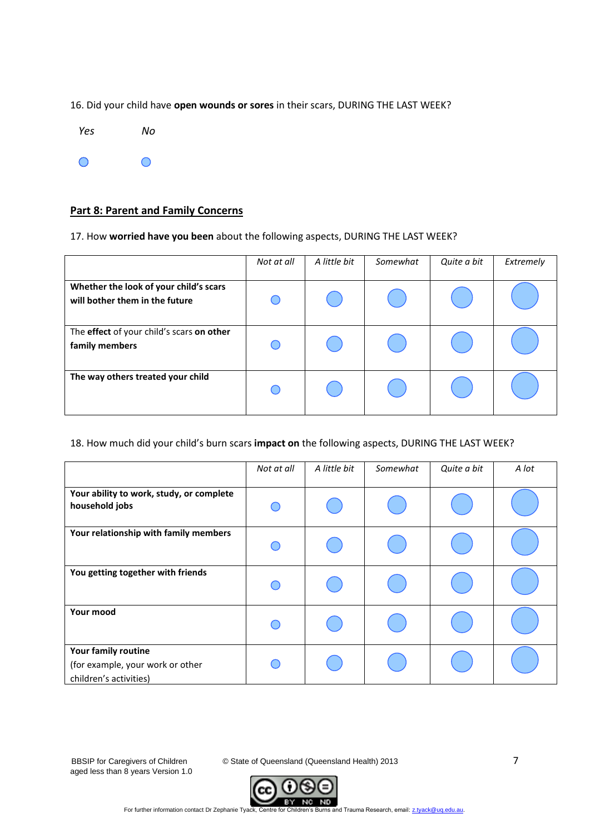16. Did your child have **open wounds or sores** in their scars, DURING THE LAST WEEK?



#### **Part 8: Parent and Family Concerns**

17. How **worried have you been** about the following aspects, DURING THE LAST WEEK?

|                                                                          | Not at all | A little bit | Somewhat | Quite a bit | Extremely |
|--------------------------------------------------------------------------|------------|--------------|----------|-------------|-----------|
| Whether the look of your child's scars<br>will bother them in the future |            |              |          |             |           |
| The effect of your child's scars on other<br>family members              |            |              |          |             |           |
| The way others treated your child                                        |            |              |          |             |           |

#### 18. How much did your child's burn scars **impact on** the following aspects, DURING THE LAST WEEK?

|                                                                                   | Not at all | A little bit | Somewhat | Quite a bit | A lot |
|-----------------------------------------------------------------------------------|------------|--------------|----------|-------------|-------|
| Your ability to work, study, or complete<br>household jobs                        |            |              |          |             |       |
| Your relationship with family members                                             |            |              |          |             |       |
| You getting together with friends                                                 |            |              |          |             |       |
| Your mood                                                                         |            |              |          |             |       |
| Your family routine<br>(for example, your work or other<br>children's activities) |            |              |          |             |       |

aged less than 8 years Version 1.0

BBSIP for Caregivers of Children **C** State of Queensland (Queensland Health) 2013 7